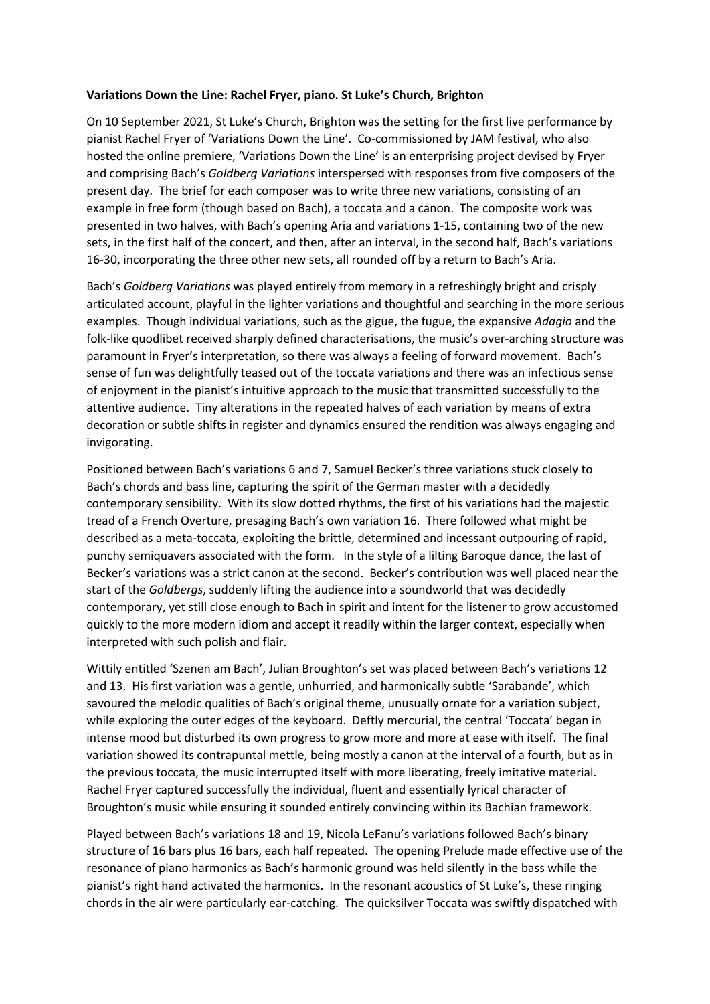## **Variations Down the Line: Rachel Fryer, piano. St Luke's Church, Brighton**

On 10 September 2021, St Luke's Church, Brighton was the setting for the first live performance by pianist Rachel Fryer of 'Variations Down the Line'. Co-commissioned by JAM festival, who also hosted the online premiere, 'Variations Down the Line' is an enterprising project devised by Fryer and comprising Bach's *Goldberg Variations* interspersed with responses from five composers of the present day. The brief for each composer was to write three new variations, consisting of an example in free form (though based on Bach), a toccata and a canon. The composite work was presented in two halves, with Bach's opening Aria and variations 1-15, containing two of the new sets, in the first half of the concert, and then, after an interval, in the second half, Bach's variations 16-30, incorporating the three other new sets, all rounded off by a return to Bach's Aria.

Bach's *Goldberg Variations* was played entirely from memory in a refreshingly bright and crisply articulated account, playful in the lighter variations and thoughtful and searching in the more serious examples. Though individual variations, such as the gigue, the fugue, the expansive *Adagio* and the folk-like quodlibet received sharply defined characterisations, the music's over-arching structure was paramount in Fryer's interpretation, so there was always a feeling of forward movement. Bach's sense of fun was delightfully teased out of the toccata variations and there was an infectious sense of enjoyment in the pianist's intuitive approach to the music that transmitted successfully to the attentive audience. Tiny alterations in the repeated halves of each variation by means of extra decoration or subtle shifts in register and dynamics ensured the rendition was always engaging and invigorating.

Positioned between Bach's variations 6 and 7, Samuel Becker's three variations stuck closely to Bach's chords and bass line, capturing the spirit of the German master with a decidedly contemporary sensibility. With its slow dotted rhythms, the first of his variations had the majestic tread of a French Overture, presaging Bach's own variation 16. There followed what might be described as a meta-toccata, exploiting the brittle, determined and incessant outpouring of rapid, punchy semiquavers associated with the form. In the style of a lilting Baroque dance, the last of Becker's variations was a strict canon at the second. Becker's contribution was well placed near the start of the *Goldbergs*, suddenly lifting the audience into a soundworld that was decidedly contemporary, yet still close enough to Bach in spirit and intent for the listener to grow accustomed quickly to the more modern idiom and accept it readily within the larger context, especially when interpreted with such polish and flair.

Wittily entitled 'Szenen am Bach', Julian Broughton's set was placed between Bach's variations 12 and 13. His first variation was a gentle, unhurried, and harmonically subtle 'Sarabande', which savoured the melodic qualities of Bach's original theme, unusually ornate for a variation subject, while exploring the outer edges of the keyboard. Deftly mercurial, the central 'Toccata' began in intense mood but disturbed its own progress to grow more and more at ease with itself. The final variation showed its contrapuntal mettle, being mostly a canon at the interval of a fourth, but as in the previous toccata, the music interrupted itself with more liberating, freely imitative material. Rachel Fryer captured successfully the individual, fluent and essentially lyrical character of Broughton's music while ensuring it sounded entirely convincing within its Bachian framework.

Played between Bach's variations 18 and 19, Nicola LeFanu's variations followed Bach's binary structure of 16 bars plus 16 bars, each half repeated. The opening Prelude made effective use of the resonance of piano harmonics as Bach's harmonic ground was held silently in the bass while the pianist's right hand activated the harmonics. In the resonant acoustics of St Luke's, these ringing chords in the air were particularly ear-catching. The quicksilver Toccata was swiftly dispatched with